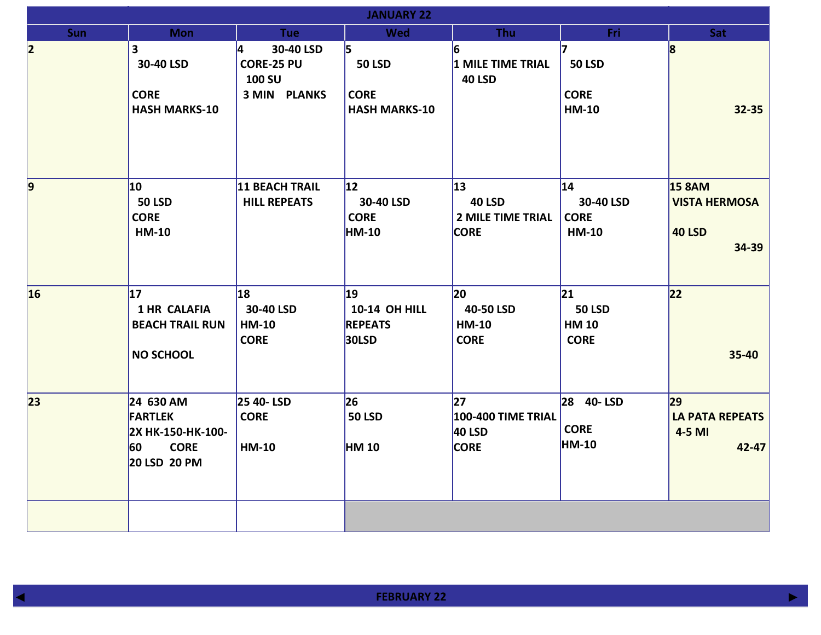|            | <b>JANUARY 22</b>                                                                     |                                                                             |                                                              |                                                                |                                                     |                                                                 |  |  |
|------------|---------------------------------------------------------------------------------------|-----------------------------------------------------------------------------|--------------------------------------------------------------|----------------------------------------------------------------|-----------------------------------------------------|-----------------------------------------------------------------|--|--|
| <b>Sun</b> | <b>Mon</b>                                                                            | <b>Tue</b>                                                                  | <b>Wed</b>                                                   | <b>Thu</b>                                                     | Fri                                                 | Sat                                                             |  |  |
| 2          | 3<br>30-40 LSD<br><b>CORE</b><br><b>HASH MARKS-10</b>                                 | 4<br>30-40 LSD<br><b>CORE-25 PU</b><br><b>100 SU</b><br><b>3 MIN PLANKS</b> | 15.<br><b>50 LSD</b><br><b>CORE</b><br><b>HASH MARKS-10</b>  | 6<br>1 MILE TIME TRIAL<br><b>40 LSD</b>                        | 17<br><b>50 LSD</b><br><b>CORE</b><br><b>HM-10</b>  | 8<br>$32 - 35$                                                  |  |  |
| $\vert$ 9  | $ 10\rangle$<br><b>50 LSD</b><br><b>CORE</b><br><b>HM-10</b>                          | <b>11 BEACH TRAIL</b><br><b>HILL REPEATS</b>                                | 12 <br>30-40 LSD<br><b>CORE</b><br><b>HM-10</b>              | 13<br><b>40 LSD</b><br><b>2 MILE TIME TRIAL</b><br><b>CORE</b> | 14 <br>30-40 LSD<br><b>CORE</b><br><b>HM-10</b>     | <b>15 8AM</b><br><b>VISTA HERMOSA</b><br><b>40 LSD</b><br>34-39 |  |  |
| 16         | 17<br><b>1 HR CALAFIA</b><br><b>BEACH TRAIL RUN</b><br><b>NO SCHOOL</b>               | 18<br>30-40 LSD<br><b>HM-10</b><br><b>CORE</b>                              | 19<br><b>10-14 OH HILL</b><br><b>REPEATS</b><br><b>30LSD</b> | $ 20\rangle$<br>40-50 LSD<br><b>HM-10</b><br><b>CORE</b>       | 21 <br><b>50 LSD</b><br><b>HM 10</b><br><b>CORE</b> | 22<br>35-40                                                     |  |  |
| 23         | 24 630 AM<br><b>FARTLEK</b><br>2X HK-150-HK-100-<br><b>CORE</b><br>60<br>20 LSD 20 PM | 25 40-LSD<br><b>CORE</b><br><b>HM-10</b>                                    | 26<br><b>50 LSD</b><br><b>HM 10</b>                          | 27 <br><b>100-400 TIME TRIAL</b><br>40 LSD<br><b>CORE</b>      | 28 40-LSD<br><b>CORE</b><br><b>HM-10</b>            | 29<br><b>LA PATA REPEATS</b><br>4-5 MI<br>42-47                 |  |  |
|            |                                                                                       |                                                                             |                                                              |                                                                |                                                     |                                                                 |  |  |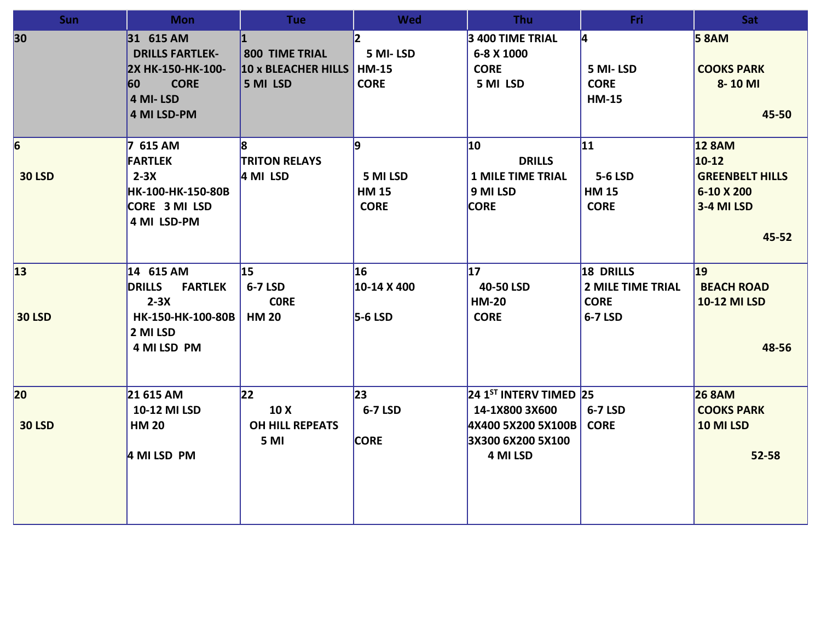| <b>Sun</b>                       | <b>Mon</b>                                                                                | <b>Tue</b>                                               | <b>Wed</b>                                              | <b>Thu</b>                                                                 | Fri                                                             | Sat                                                                            |
|----------------------------------|-------------------------------------------------------------------------------------------|----------------------------------------------------------|---------------------------------------------------------|----------------------------------------------------------------------------|-----------------------------------------------------------------|--------------------------------------------------------------------------------|
| 30                               | 31 615 AM<br><b>DRILLS FARTLEK-</b><br>2X HK-150-HK-100-<br>60<br><b>CORE</b><br>4 MI-LSD | <b>800 TIME TRIAL</b><br>10 x BLEACHER HILLS<br>5 MI LSD | $\mathsf{z}$<br>5 MI-LSD<br><b>HM-15</b><br><b>CORE</b> | 3 400 TIME TRIAL<br>6-8 X 1000<br><b>CORE</b><br>5 MI LSD                  | 4<br>5 MI-LSD<br><b>CORE</b><br><b>HM-15</b>                    | <b>5 8 AM</b><br><b>COOKS PARK</b><br>8-10 MI                                  |
|                                  | 4 MI LSD-PM                                                                               |                                                          |                                                         |                                                                            |                                                                 | 45-50                                                                          |
| $\vert 6 \vert$<br><b>30 LSD</b> | 7 615 AM<br><b>FARTLEK</b><br>$2-3X$<br>HK-100-HK-150-80B<br>CORE 3 MI LSD<br>4 MI LSD-PM | R.<br><b>TRITON RELAYS</b><br>4 MI LSD                   | 9<br>5 MI LSD<br><b>HM 15</b><br><b>CORE</b>            | 10<br><b>DRILLS</b><br><b>1 MILE TIME TRIAL</b><br>9 MI LSD<br><b>CORE</b> | $ 11\rangle$<br>5-6 LSD<br><b>HM 15</b><br><b>CORE</b>          | <b>12 8AM</b><br>$10-12$<br><b>GREENBELT HILLS</b><br>6-10 X 200<br>3-4 MI LSD |
|                                  |                                                                                           |                                                          |                                                         |                                                                            |                                                                 | 45-52                                                                          |
| 13 <br><b>30 LSD</b>             | 14 615 AM<br><b>FARTLEK</b><br><b>DRILLS</b><br>$2-3X$<br>HK-150-HK-100-80B<br>2 MI LSD   | 15<br>6-7 LSD<br><b>CORE</b><br><b>HM 20</b>             | 16<br>10-14 X 400<br>$5-6$ LSD                          | 17 <br>40-50 LSD<br><b>HM-20</b><br><b>CORE</b>                            | 18 DRILLS<br><b>2 MILE TIME TRIAL</b><br><b>CORE</b><br>6-7 LSD | $ 19\rangle$<br><b>BEACH ROAD</b><br><b>10-12 MI LSD</b>                       |
|                                  | 4 MI LSD PM                                                                               |                                                          |                                                         |                                                                            |                                                                 | 48-56                                                                          |
| 20                               | 21 615 AM                                                                                 | 22                                                       | $ 23\rangle$                                            | 24 1 <sup>ST</sup> INTERV TIMED 25                                         |                                                                 | <b>26 8AM</b>                                                                  |
| <b>30 LSD</b>                    | 10-12 MI LSD<br><b>HM 20</b>                                                              | 10 X<br><b>OH HILL REPEATS</b><br>5 MI                   | 6-7 LSD<br><b>CORE</b>                                  | 14-1X800 3X600<br>4X400 5X200 5X100B<br>3X300 6X200 5X100<br>4 MI LSD      | 6-7 LSD<br><b>CORE</b>                                          | <b>COOKS PARK</b><br>10 MI LSD                                                 |
|                                  | 4 MI LSD PM                                                                               |                                                          |                                                         |                                                                            |                                                                 | $52 - 58$                                                                      |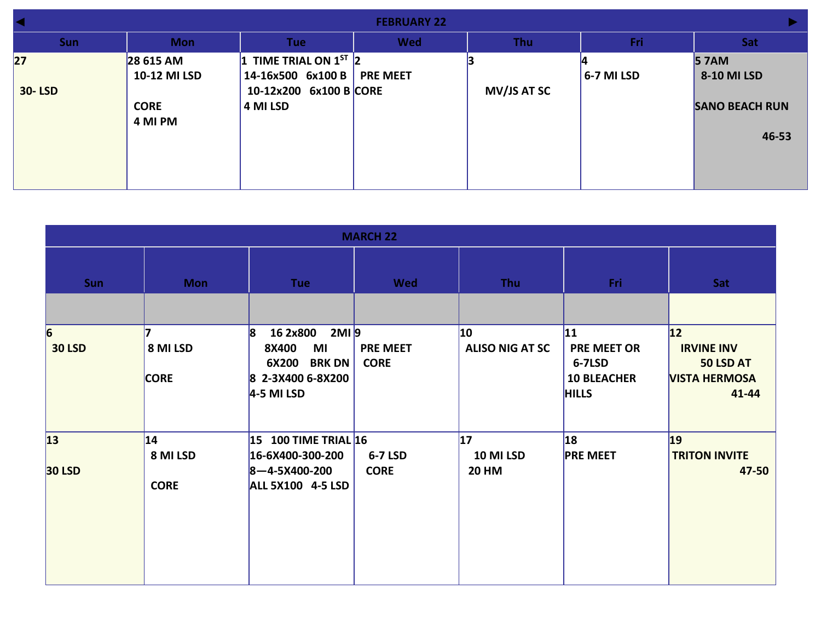|                      | <b>FEBRUARY 22</b>                                  |                                                                                       |                 |                    |              |                                                              |  |
|----------------------|-----------------------------------------------------|---------------------------------------------------------------------------------------|-----------------|--------------------|--------------|--------------------------------------------------------------|--|
| <b>Sun</b>           | <b>Mon</b>                                          | Tue                                                                                   | <b>Wed</b>      | <b>Thu</b>         | Fri          | Sat                                                          |  |
| 27 <br><b>30-LSD</b> | 28 615 AM<br>10-12 MI LSD<br><b>CORE</b><br>4 MI PM | 1 TIME TRIAL ON $1^{ST}$ 2<br>14-16x500 6x100 B<br>10-12x200 6x100 B CORE<br>4 MI LSD | <b>PRE MEET</b> | <b>MV/JS AT SC</b> | $6-7$ MI LSD | <b>57AM</b><br>8-10 MI LSD<br><b>SANO BEACH RUN</b><br>46-53 |  |

| <b>MARCH 22</b>                  |                                |                                                                                                                                     |                                |                                        |                                                                           |                                                                        |  |  |
|----------------------------------|--------------------------------|-------------------------------------------------------------------------------------------------------------------------------------|--------------------------------|----------------------------------------|---------------------------------------------------------------------------|------------------------------------------------------------------------|--|--|
| <b>Sun</b>                       | <b>Mon</b>                     | <b>Tue</b>                                                                                                                          | <b>Wed</b>                     | Thu                                    | Fri                                                                       | Sat                                                                    |  |  |
|                                  |                                |                                                                                                                                     |                                |                                        |                                                                           |                                                                        |  |  |
| $\vert 6 \vert$<br><b>30 LSD</b> | 8 MI LSD<br><b>CORE</b>        | $2MI$ <sup>9</sup><br>$\mathbf{8}$<br>16 2x800<br>MI<br><b>8X400</b><br>6X200<br><b>BRK DN</b><br>8 2-3X400 6-8X200<br>$4-5$ MI LSD | <b>PRE MEET</b><br><b>CORE</b> | $ 10\rangle$<br><b>ALISO NIG AT SC</b> | 11 <br><b>PRE MEET OR</b><br>6-7LSD<br><b>10 BLEACHER</b><br><b>HILLS</b> | 12 <br><b>IRVINE INV</b><br>50 LSD AT<br><b>VISTA HERMOSA</b><br>41-44 |  |  |
| 13 <br><b>30 LSD</b>             | 14 <br>8 MI LSD<br><b>CORE</b> | 15 100 TIME TRIAL 16<br>16-6X400-300-200<br>$ 8 - 4 - 5 \times 400 - 200 $<br><b>ALL 5X100 4-5 LSD</b>                              | 6-7 LSD<br><b>CORE</b>         | 17 <br>10 MI LSD<br><b>20 HM</b>       | <b>18</b><br><b>PRE MEET</b>                                              | $ 19\rangle$<br><b>TRITON INVITE</b><br>47-50                          |  |  |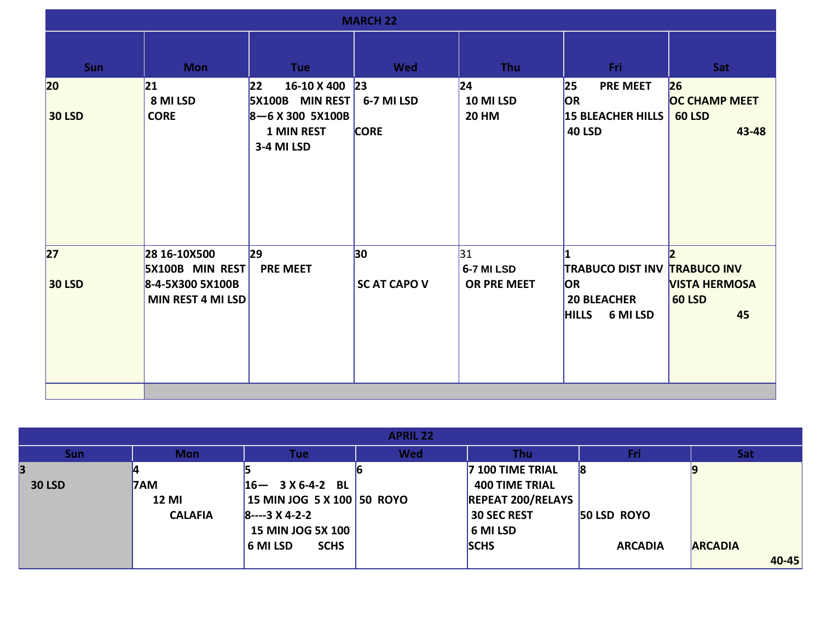| <b>MARCH 22</b>               |                                                                                        |                                                                                                           |                           |                                  |                                                                                                    |                                             |  |
|-------------------------------|----------------------------------------------------------------------------------------|-----------------------------------------------------------------------------------------------------------|---------------------------|----------------------------------|----------------------------------------------------------------------------------------------------|---------------------------------------------|--|
| <b>Sun</b>                    | <b>Mon</b>                                                                             | <b>Tue</b>                                                                                                | Wed                       | <b>Thu</b>                       | Fri                                                                                                | <b>Sat</b>                                  |  |
| $ 20\rangle$<br><b>30 LSD</b> | 21 <br>8 MI LSD<br><b>CORE</b>                                                         | 22<br>16-10 X 400 23<br><b>5X100B</b> MIN REST<br>$8 - 6$ X 300 5X100B<br><b>1 MIN REST</b><br>3-4 MI LSD | 6-7 MI LSD<br><b>CORE</b> | 24 <br>10 MI LSD<br><b>20 HM</b> | 25<br><b>PRE MEET</b><br><b>OR</b><br>15 BLEACHER HILLS 60 LSD<br><b>40 LSD</b>                    | 26 <br><b>OC CHAMP MEET</b><br>43-48        |  |
| 27 <br><b>30 LSD</b>          | 28 16-10X500<br><b>5X100B MIN REST</b><br>8-4-5X300 5X100B<br><b>MIN REST 4 MI LSD</b> | 29 <br><b>PRE MEET</b>                                                                                    | 30<br><b>SC AT CAPO V</b> | 31 <br>6-7 MI LSD<br>OR PRE MEET | <b>TRABUCO DIST INV TRABUCO INV</b><br><b>OR</b><br><b>20 BLEACHER</b><br><b>HILLS</b><br>6 MI LSD | <b>VISTA HERMOSA</b><br><b>60 LSD</b><br>45 |  |

| <b>APRIL 22</b> |                |                              |            |                          |                |                |  |  |
|-----------------|----------------|------------------------------|------------|--------------------------|----------------|----------------|--|--|
| <b>Sun</b>      | <b>Mon</b>     | <b>Tue</b>                   | <b>Wed</b> | Thu                      | Fri            | <b>Sat</b>     |  |  |
|                 |                |                              |            | 7 100 TIME TRIAL         | 18             |                |  |  |
| <b>30 LSD</b>   | <b>7AM</b>     | $16 - 3 \times 6 - 4 - 2$ BL |            | <b>400 TIME TRIAL</b>    |                |                |  |  |
|                 | <b>12 MI</b>   | 15 MIN JOG 5 X 100 50 ROYO   |            | <b>REPEAT 200/RELAYS</b> |                |                |  |  |
|                 | <b>CALAFIA</b> | $8--3$ X 4-2-2               |            | <b>30 SEC REST</b>       | 50 LSD ROYO    |                |  |  |
|                 |                | <b>15 MIN JOG 5X 100</b>     |            | 6 MI LSD                 |                |                |  |  |
|                 |                | <b>SCHS</b><br>6 MI LSD      |            | <b>SCHS</b>              | <b>ARCADIA</b> | <b>ARCADIA</b> |  |  |
|                 |                |                              |            |                          |                | 40-45          |  |  |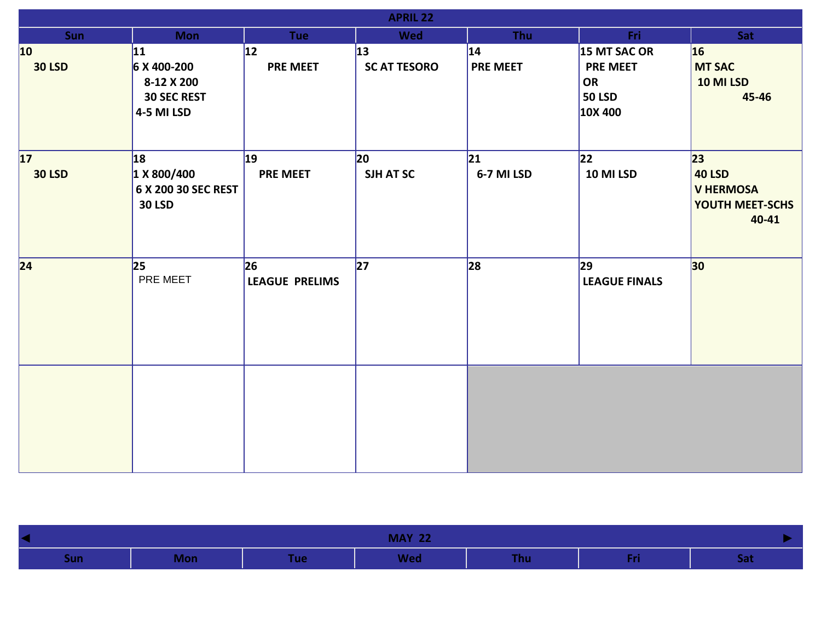| <b>APRIL 22</b>               |                                                                      |                                 |                            |                                 |                                                                   |                                                                                 |  |  |
|-------------------------------|----------------------------------------------------------------------|---------------------------------|----------------------------|---------------------------------|-------------------------------------------------------------------|---------------------------------------------------------------------------------|--|--|
| <b>Sun</b>                    | <b>Mon</b>                                                           | <b>Tue</b>                      | <b>Wed</b>                 | <b>Thu</b>                      | Fri:                                                              | Sat                                                                             |  |  |
| $ 10\rangle$<br><b>30 LSD</b> | 11 <br>6 X 400-200<br>8-12 X 200<br><b>30 SEC REST</b><br>4-5 MI LSD | 12 <br><b>PRE MEET</b>          | 13 <br><b>SC AT TESORO</b> | $ 14\rangle$<br><b>PRE MEET</b> | 15 MT SAC OR<br><b>PRE MEET</b><br>OR<br><b>50 LSD</b><br>10X 400 | 16 <br><b>MT SAC</b><br>10 MI LSD<br>45-46                                      |  |  |
| 17 <br><b>30 LSD</b>          | 18 <br>1 X 800/400<br>6 X 200 30 SEC REST<br><b>30 LSD</b>           | $ 19\rangle$<br><b>PRE MEET</b> | $ 20\rangle$<br>SJH AT SC  | $ 21\rangle$<br>6-7 MI LSD      | 22 <br>10 MI LSD                                                  | 23 <br><b>40 LSD</b><br><b>V HERMOSA</b><br><b>YOUTH MEET-SCHS</b><br>$40 - 41$ |  |  |
| 24                            | 25<br>PRE MEET                                                       | 26 <br><b>LEAGUE PRELIMS</b>    | 27                         | 28                              | 29 <br><b>LEAGUE FINALS</b>                                       | 30 <sub>o</sub>                                                                 |  |  |
|                               |                                                                      |                                 |                            |                                 |                                                                   |                                                                                 |  |  |

| <b>MAY 22</b><br>$\blacktriangleleft$ |            |            |            |            |        |     |
|---------------------------------------|------------|------------|------------|------------|--------|-----|
| Sunl                                  | <b>Mon</b> | <b>Tue</b> | <b>Wed</b> | <b>Thu</b> | $\sim$ | Jac |